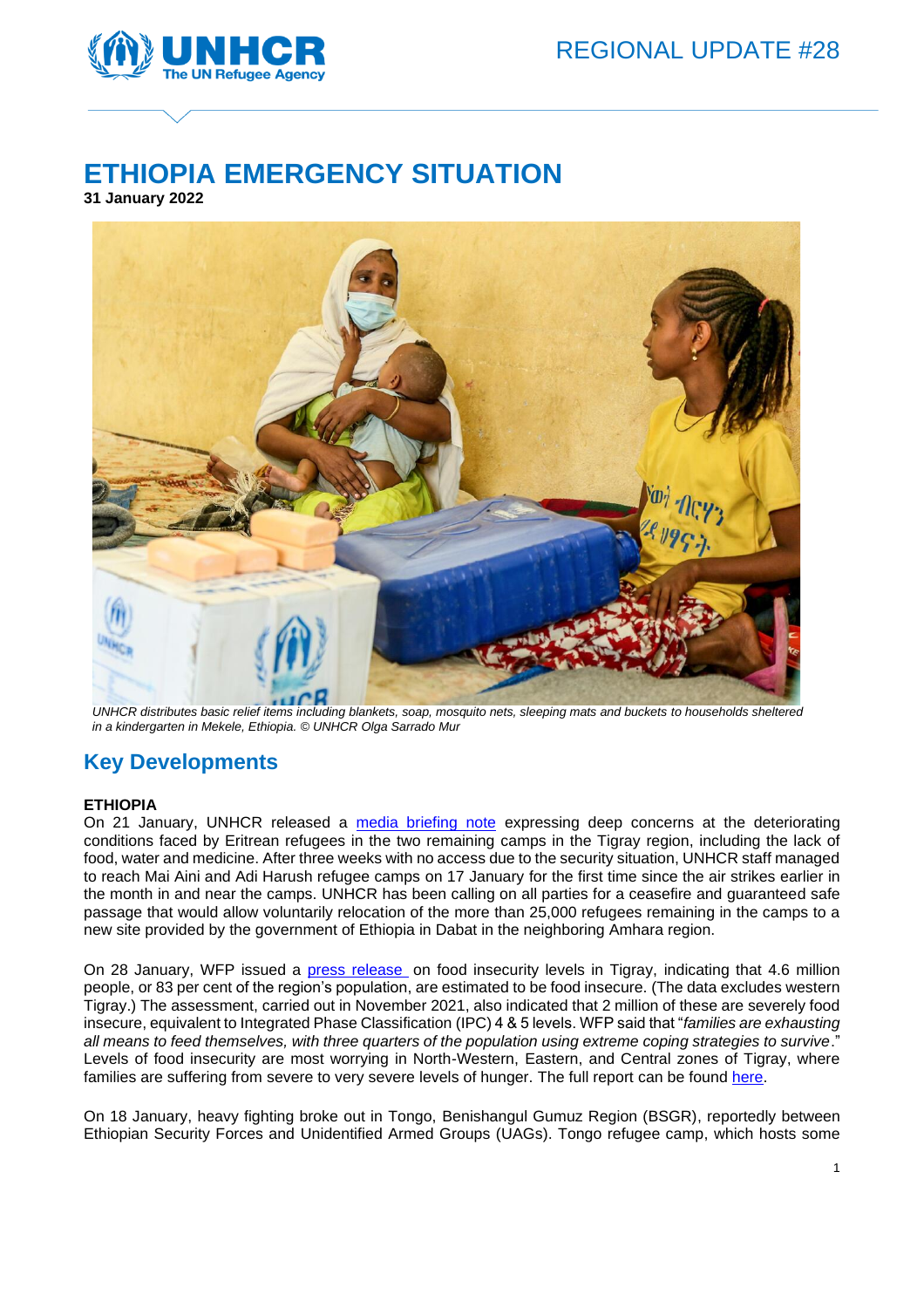

# **ETHIOPIA EMERGENCY SITUATION**

**31 January 2022**



*UNHCR distributes basic relief items including blankets, soap, mosquito nets, sleeping mats and buckets to households sheltered in a kindergarten in Mekele, Ethiopia. © UNHCR Olga Sarrado Mur*

# **Key Developments**

### **ETHIOPIA**

On 21 January, UNHCR released a [media briefing note](https://www.unhcr.org/news/briefing/2022/1/61ea6fe74/deteriorating-conditions-eritrean-refugees-grave-risk-tigray.html) expressing deep concerns at the deteriorating conditions faced by Eritrean refugees in the two remaining camps in the Tigray region, including the lack of food, water and medicine. After three weeks with no access due to the security situation, UNHCR staff managed to reach Mai Aini and Adi Harush refugee camps on 17 January for the first time since the air strikes earlier in the month in and near the camps. UNHCR has been calling on all parties for a ceasefire and guaranteed safe passage that would allow voluntarily relocation of the more than 25,000 refugees remaining in the camps to a new site provided by the government of Ethiopia in Dabat in the neighboring Amhara region.

On 28 January, WFP issued a [press release](https://eur02.safelinks.protection.outlook.com/?url=https%3A%2F%2Fwww.wfp.org%2Fnews%2Fsevere-hunger-tightens-grip-northern-ethiopia&data=04%7C01%7Ckasina%40unhcr.org%7C3c5fb8611f5a4e99ff7708d9e4a20099%7Ce5c37981666441348a0c6543d2af80be%7C0%7C0%7C637792206704392036%7CUnknown%7CTWFpbGZsb3d8eyJWIjoiMC4wLjAwMDAiLCJQIjoiV2luMzIiLCJBTiI6Ik1haWwiLCJXVCI6Mn0%3D%7C3000&sdata=7zvltm6ixoHFIKvhAtY3r9ChtOr86qsit9jkDCkKzb4%3D&reserved=0) on food insecurity levels in Tigray, indicating that 4.6 million people, or 83 per cent of the region's population, are estimated to be food insecure. (The data excludes western Tigray.) The assessment, carried out in November 2021, also indicated that 2 million of these are severely food insecure, equivalent to Integrated Phase Classification (IPC) 4 & 5 levels. WFP said that "*families are exhausting all means to feed themselves, with three quarters of the population using extreme coping strategies to survive*." Levels of food insecurity are most worrying in North-Western, Eastern, and Central zones of Tigray, where families are suffering from severe to very severe levels of hunger. The full report can be found [here.](https://eur02.safelinks.protection.outlook.com/?url=https%3A%2F%2Fdocs.wfp.org%2Fapi%2Fdocuments%2FWFP-0000136281%2Fdownload%2F%3F_ga%3D2.125892878.2019495734.1643608431-77644659.1642399860&data=04%7C01%7Ckasina%40unhcr.org%7C3c5fb8611f5a4e99ff7708d9e4a20099%7Ce5c37981666441348a0c6543d2af80be%7C0%7C0%7C637792206704392036%7CUnknown%7CTWFpbGZsb3d8eyJWIjoiMC4wLjAwMDAiLCJQIjoiV2luMzIiLCJBTiI6Ik1haWwiLCJXVCI6Mn0%3D%7C3000&sdata=JdP40Rfws6OeeDiAk4945AZiWbhmMNY2Ud0eXYJeHck%3D&reserved=0)

On 18 January, heavy fighting broke out in Tongo, Benishangul Gumuz Region (BSGR), reportedly between Ethiopian Security Forces and Unidentified Armed Groups (UAGs). Tongo refugee camp, which hosts some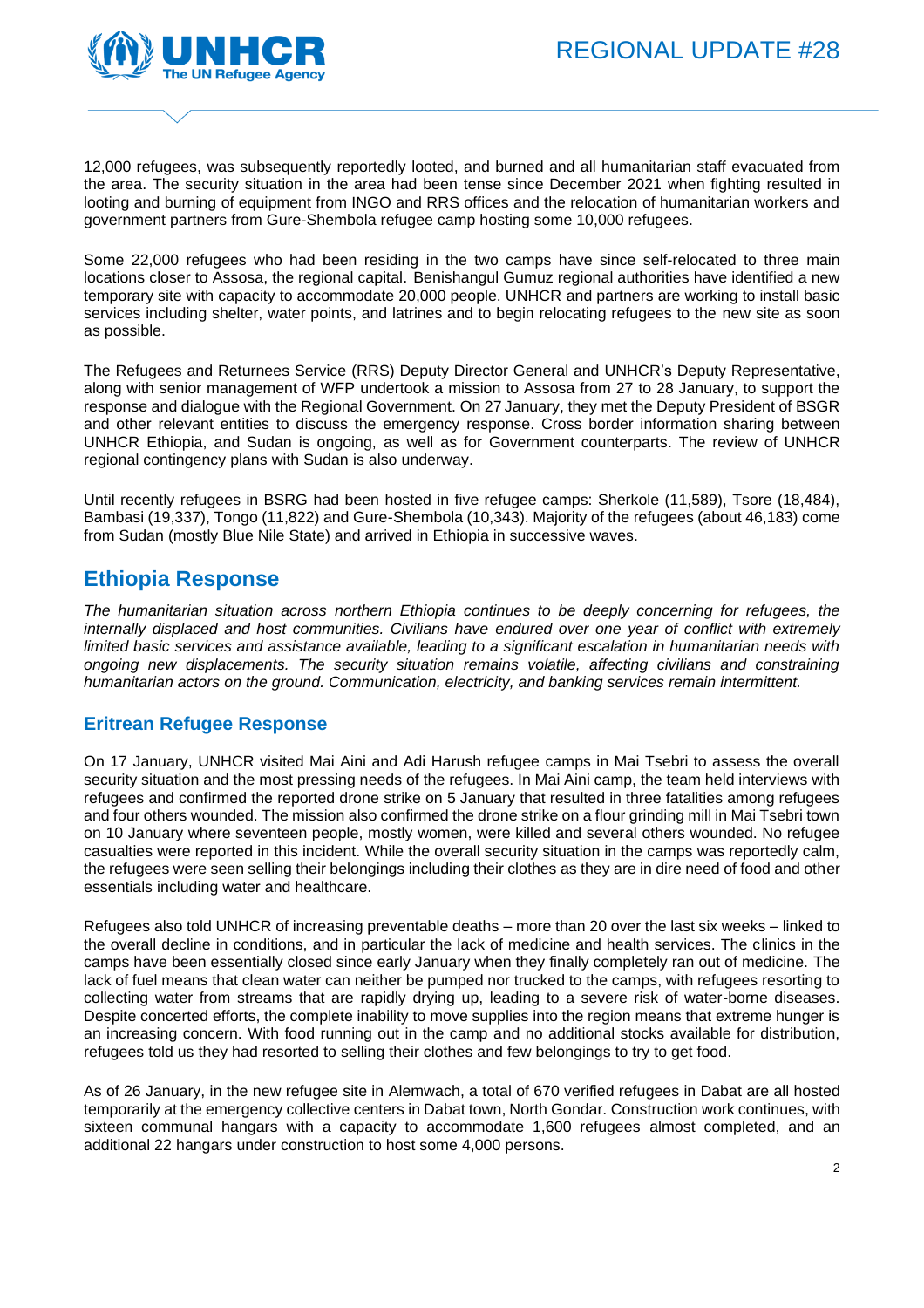

12,000 refugees, was subsequently reportedly looted, and burned and all humanitarian staff evacuated from the area. The security situation in the area had been tense since December 2021 when fighting resulted in looting and burning of equipment from INGO and RRS offices and the relocation of humanitarian workers and government partners from Gure-Shembola refugee camp hosting some 10,000 refugees.

Some 22,000 refugees who had been residing in the two camps have since self-relocated to three main locations closer to Assosa, the regional capital. Benishangul Gumuz regional authorities have identified a new temporary site with capacity to accommodate 20,000 people. UNHCR and partners are working to install basic services including shelter, water points, and latrines and to begin relocating refugees to the new site as soon as possible.

The Refugees and Returnees Service (RRS) Deputy Director General and UNHCR's Deputy Representative, along with senior management of WFP undertook a mission to Assosa from 27 to 28 January, to support the response and dialogue with the Regional Government. On 27 January, they met the Deputy President of BSGR and other relevant entities to discuss the emergency response. Cross border information sharing between UNHCR Ethiopia, and Sudan is ongoing, as well as for Government counterparts. The review of UNHCR regional contingency plans with Sudan is also underway.

Until recently refugees in BSRG had been hosted in five refugee camps: Sherkole (11,589), Tsore (18,484), Bambasi (19,337), Tongo (11,822) and Gure-Shembola (10,343). Majority of the refugees (about 46,183) come from Sudan (mostly Blue Nile State) and arrived in Ethiopia in successive waves.

# **Ethiopia Response**

*The humanitarian situation across northern Ethiopia continues to be deeply concerning for refugees, the internally displaced and host communities. Civilians have endured over one year of conflict with extremely limited basic services and assistance available, leading to a significant escalation in humanitarian needs with ongoing new displacements. The security situation remains volatile, affecting civilians and constraining humanitarian actors on the ground. Communication, electricity, and banking services remain intermittent.*

## **Eritrean Refugee Response**

On 17 January, UNHCR visited Mai Aini and Adi Harush refugee camps in Mai Tsebri to assess the overall security situation and the most pressing needs of the refugees. In Mai Aini camp, the team held interviews with refugees and confirmed the reported drone strike on 5 January that resulted in three fatalities among refugees and four others wounded. The mission also confirmed the drone strike on a flour grinding mill in Mai Tsebri town on 10 January where seventeen people, mostly women, were killed and several others wounded. No refugee casualties were reported in this incident. While the overall security situation in the camps was reportedly calm, the refugees were seen selling their belongings including their clothes as they are in dire need of food and other essentials including water and healthcare.

Refugees also told UNHCR of increasing preventable deaths – more than 20 over the last six weeks – linked to the overall decline in conditions, and in particular the lack of medicine and health services. The clinics in the camps have been essentially closed since early January when they finally completely ran out of medicine. The lack of fuel means that clean water can neither be pumped nor trucked to the camps, with refugees resorting to collecting water from streams that are rapidly drying up, leading to a severe risk of water-borne diseases. Despite concerted efforts, the complete inability to move supplies into the region means that extreme hunger is an increasing concern. With food running out in the camp and no additional stocks available for distribution, refugees told us they had resorted to selling their clothes and few belongings to try to get food.

As of 26 January, in the new refugee site in Alemwach, a total of 670 verified refugees in Dabat are all hosted temporarily at the emergency collective centers in Dabat town, North Gondar. Construction work continues, with sixteen communal hangars with a capacity to accommodate 1,600 refugees almost completed, and an additional 22 hangars under construction to host some 4,000 persons.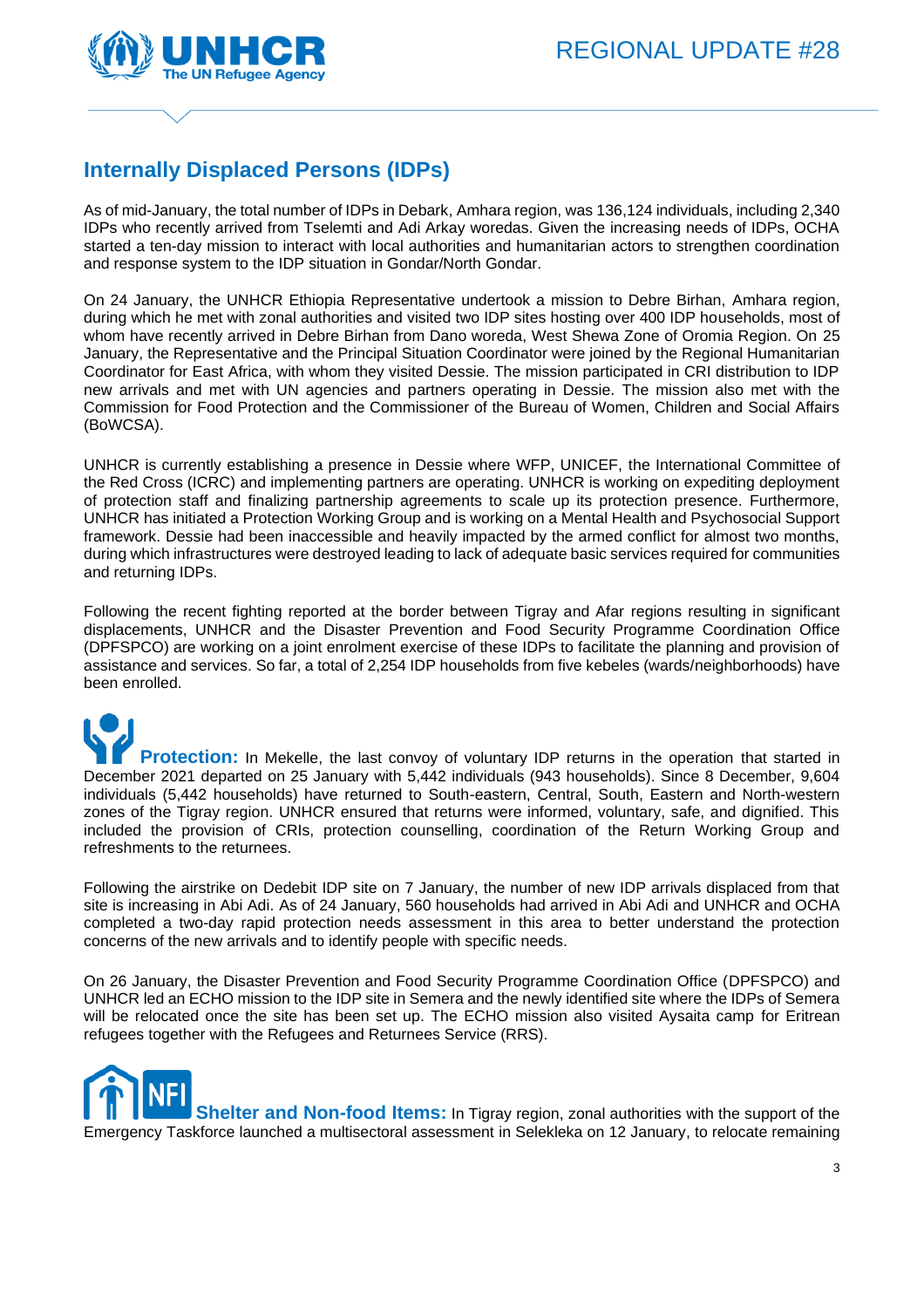

# **Internally Displaced Persons (IDPs)**

As of mid-January, the total number of IDPs in Debark, Amhara region, was 136,124 individuals, including 2,340 IDPs who recently arrived from Tselemti and Adi Arkay woredas. Given the increasing needs of IDPs, OCHA started a ten-day mission to interact with local authorities and humanitarian actors to strengthen coordination and response system to the IDP situation in Gondar/North Gondar.

On 24 January, the UNHCR Ethiopia Representative undertook a mission to Debre Birhan, Amhara region, during which he met with zonal authorities and visited two IDP sites hosting over 400 IDP households, most of whom have recently arrived in Debre Birhan from Dano woreda, West Shewa Zone of Oromia Region. On 25 January, the Representative and the Principal Situation Coordinator were joined by the Regional Humanitarian Coordinator for East Africa, with whom they visited Dessie. The mission participated in CRI distribution to IDP new arrivals and met with UN agencies and partners operating in Dessie. The mission also met with the Commission for Food Protection and the Commissioner of the Bureau of Women, Children and Social Affairs (BoWCSA).

UNHCR is currently establishing a presence in Dessie where WFP, UNICEF, the International Committee of the Red Cross (ICRC) and implementing partners are operating. UNHCR is working on expediting deployment of protection staff and finalizing partnership agreements to scale up its protection presence. Furthermore, UNHCR has initiated a Protection Working Group and is working on a Mental Health and Psychosocial Support framework. Dessie had been inaccessible and heavily impacted by the armed conflict for almost two months, during which infrastructures were destroyed leading to lack of adequate basic services required for communities and returning IDPs.

Following the recent fighting reported at the border between Tigray and Afar regions resulting in significant displacements, UNHCR and the Disaster Prevention and Food Security Programme Coordination Office (DPFSPCO) are working on a joint enrolment exercise of these IDPs to facilitate the planning and provision of assistance and services. So far, a total of 2,254 IDP households from five kebeles (wards/neighborhoods) have been enrolled.

**Protection:** In Mekelle, the last convoy of voluntary IDP returns in the operation that started in December 2021 departed on 25 January with 5,442 individuals (943 households). Since 8 December, 9,604 individuals (5,442 households) have returned to South-eastern, Central, South, Eastern and North-western zones of the Tigray region. UNHCR ensured that returns were informed, voluntary, safe, and dignified. This included the provision of CRIs, protection counselling, coordination of the Return Working Group and refreshments to the returnees.

Following the airstrike on Dedebit IDP site on 7 January, the number of new IDP arrivals displaced from that site is increasing in Abi Adi. As of 24 January, 560 households had arrived in Abi Adi and UNHCR and OCHA completed a two-day rapid protection needs assessment in this area to better understand the protection concerns of the new arrivals and to identify people with specific needs.

On 26 January, the Disaster Prevention and Food Security Programme Coordination Office (DPFSPCO) and UNHCR led an ECHO mission to the IDP site in Semera and the newly identified site where the IDPs of Semera will be relocated once the site has been set up. The ECHO mission also visited Aysaita camp for Eritrean refugees together with the Refugees and Returnees Service (RRS).

**Shelter and Non-food Items:** In Tigray region, zonal authorities with the support of the Emergency Taskforce launched a multisectoral assessment in Selekleka on 12 January, to relocate remaining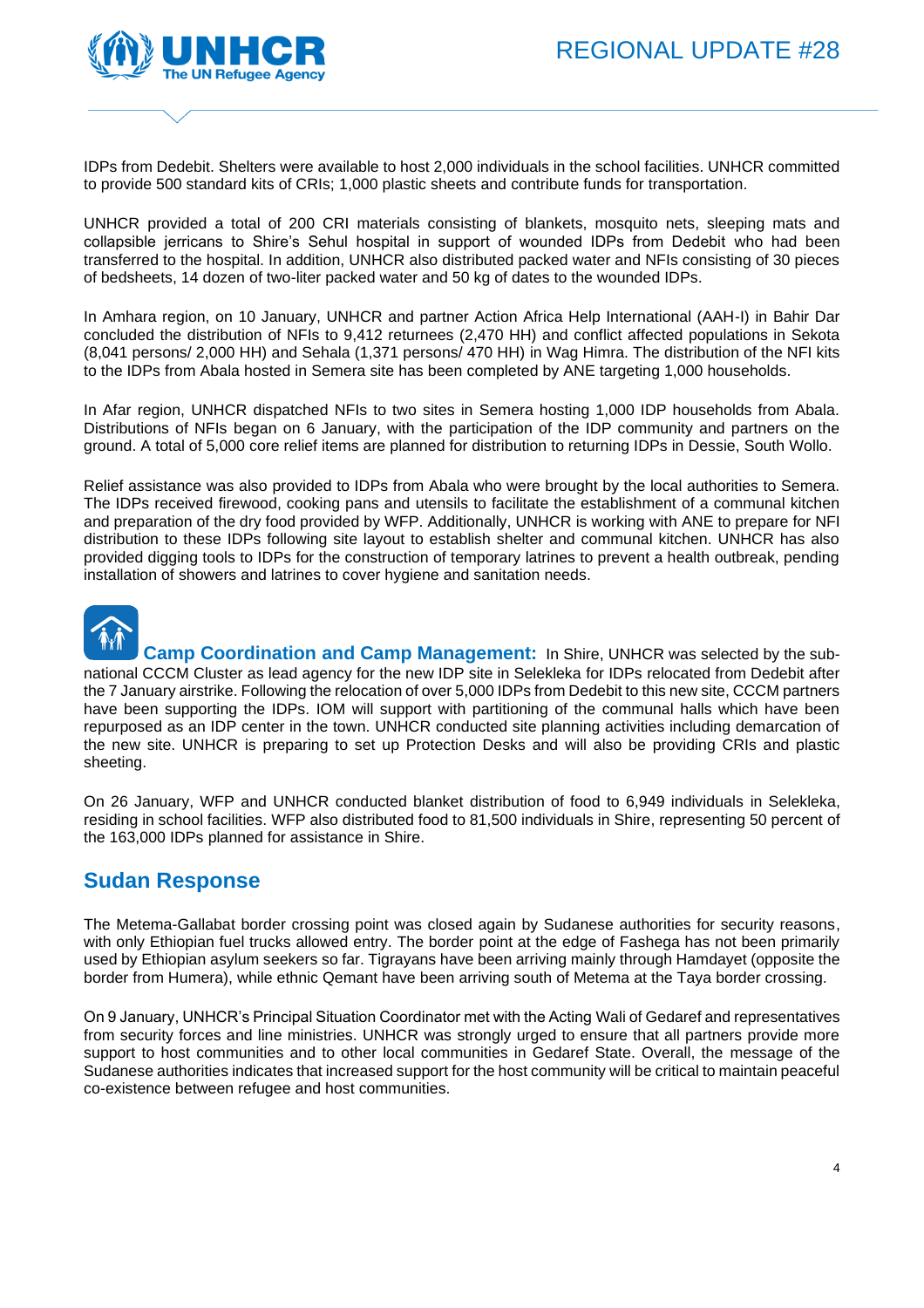

IDPs from Dedebit. Shelters were available to host 2,000 individuals in the school facilities. UNHCR committed to provide 500 standard kits of CRIs; 1,000 plastic sheets and contribute funds for transportation.

UNHCR provided a total of 200 CRI materials consisting of blankets, mosquito nets, sleeping mats and collapsible jerricans to Shire's Sehul hospital in support of wounded IDPs from Dedebit who had been transferred to the hospital. In addition, UNHCR also distributed packed water and NFIs consisting of 30 pieces of bedsheets, 14 dozen of two-liter packed water and 50 kg of dates to the wounded IDPs.

In Amhara region, on 10 January, UNHCR and partner Action Africa Help International (AAH-I) in Bahir Dar concluded the distribution of NFIs to 9,412 returnees (2,470 HH) and conflict affected populations in Sekota (8,041 persons/ 2,000 HH) and Sehala (1,371 persons/ 470 HH) in Wag Himra. The distribution of the NFI kits to the IDPs from Abala hosted in Semera site has been completed by ANE targeting 1,000 households.

In Afar region, UNHCR dispatched NFIs to two sites in Semera hosting 1,000 IDP households from Abala. Distributions of NFIs began on 6 January, with the participation of the IDP community and partners on the ground. A total of 5,000 core relief items are planned for distribution to returning IDPs in Dessie, South Wollo.

Relief assistance was also provided to IDPs from Abala who were brought by the local authorities to Semera. The IDPs received firewood, cooking pans and utensils to facilitate the establishment of a communal kitchen and preparation of the dry food provided by WFP. Additionally, UNHCR is working with ANE to prepare for NFI distribution to these IDPs following site layout to establish shelter and communal kitchen. UNHCR has also provided digging tools to IDPs for the construction of temporary latrines to prevent a health outbreak, pending installation of showers and latrines to cover hygiene and sanitation needs.



**Camp Coordination and Camp Management:** In Shire, UNHCR was selected by the subnational CCCM Cluster as lead agency for the new IDP site in Selekleka for IDPs relocated from Dedebit after the 7 January airstrike. Following the relocation of over 5,000 IDPs from Dedebit to this new site, CCCM partners have been supporting the IDPs. IOM will support with partitioning of the communal halls which have been repurposed as an IDP center in the town. UNHCR conducted site planning activities including demarcation of the new site. UNHCR is preparing to set up Protection Desks and will also be providing CRIs and plastic sheeting.

On 26 January, WFP and UNHCR conducted blanket distribution of food to 6,949 individuals in Selekleka, residing in school facilities. WFP also distributed food to 81,500 individuals in Shire, representing 50 percent of the 163,000 IDPs planned for assistance in Shire.

# **Sudan Response**

The Metema-Gallabat border crossing point was closed again by Sudanese authorities for security reasons, with only Ethiopian fuel trucks allowed entry. The border point at the edge of Fashega has not been primarily used by Ethiopian asylum seekers so far. Tigrayans have been arriving mainly through Hamdayet (opposite the border from Humera), while ethnic Qemant have been arriving south of Metema at the Taya border crossing.

On 9 January, UNHCR's Principal Situation Coordinator met with the Acting Wali of Gedaref and representatives from security forces and line ministries. UNHCR was strongly urged to ensure that all partners provide more support to host communities and to other local communities in Gedaref State. Overall, the message of the Sudanese authorities indicates that increased support for the host community will be critical to maintain peaceful co-existence between refugee and host communities.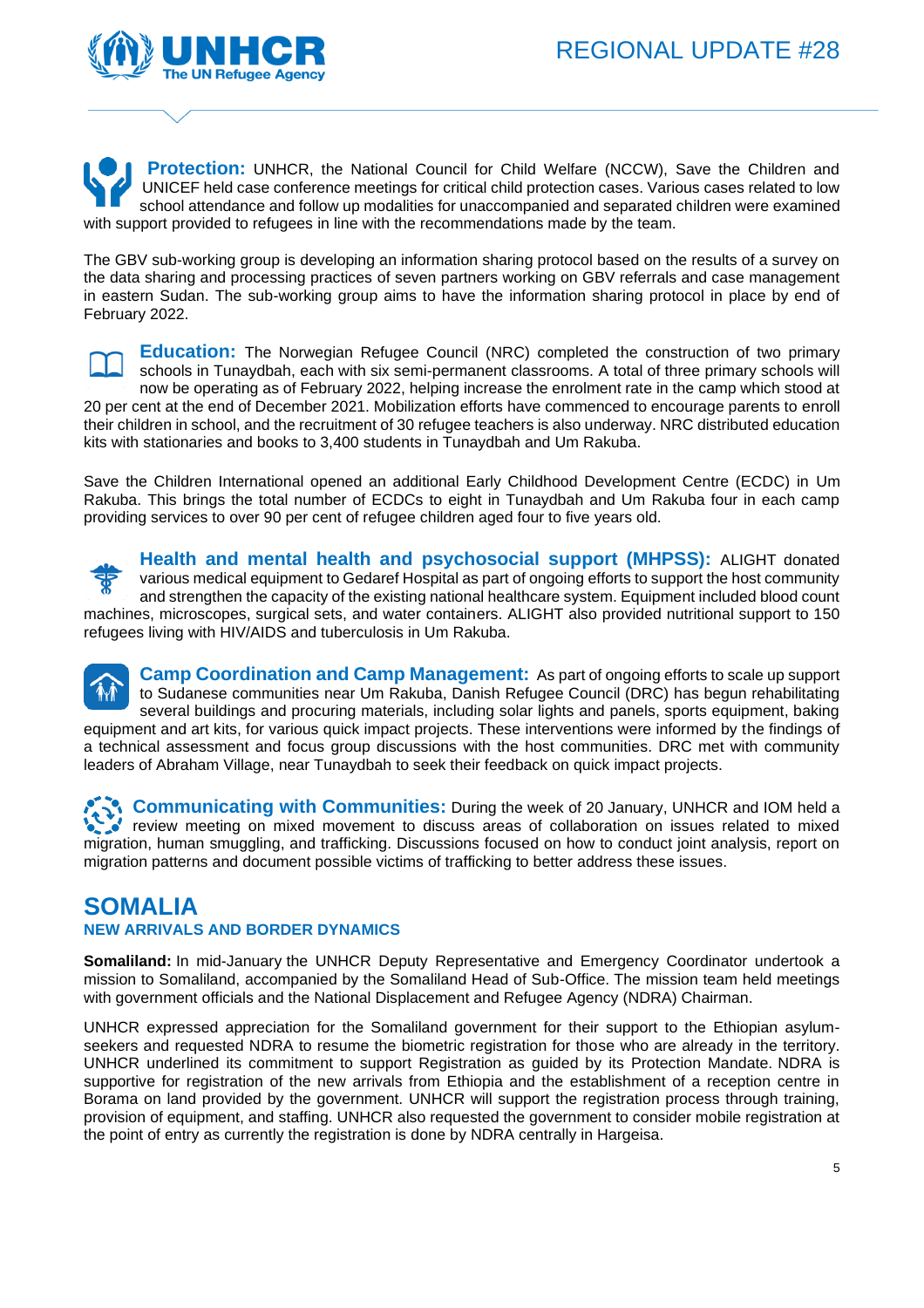

**Protection:** UNHCR, the National Council for Child Welfare (NCCW), Save the Children and UNICEF held case conference meetings for critical child protection cases. Various cases related to low school attendance and follow up modalities for unaccompanied and separated children were examined with support provided to refugees in line with the recommendations made by the team.

The GBV sub-working group is developing an information sharing protocol based on the results of a survey on the data sharing and processing practices of seven partners working on GBV referrals and case management in eastern Sudan. The sub-working group aims to have the information sharing protocol in place by end of February 2022.



**Education:** The Norwegian Refugee Council (NRC) completed the construction of two primary schools in Tunaydbah, each with six semi-permanent classrooms. A total of three primary schools will now be operating as of February 2022, helping increase the enrolment rate in the camp which stood at 20 per cent at the end of December 2021. Mobilization efforts have commenced to encourage parents to enroll their children in school, and the recruitment of 30 refugee teachers is also underway. NRC distributed education kits with stationaries and books to 3,400 students in Tunaydbah and Um Rakuba.

Save the Children International opened an additional Early Childhood Development Centre (ECDC) in Um Rakuba. This brings the total number of ECDCs to eight in Tunaydbah and Um Rakuba four in each camp providing services to over 90 per cent of refugee children aged four to five years old.



**Health and mental health and psychosocial support (MHPSS):** ALIGHT donated various medical equipment to Gedaref Hospital as part of ongoing efforts to support the host community and strengthen the capacity of the existing national healthcare system. Equipment included blood count machines, microscopes, surgical sets, and water containers. ALIGHT also provided nutritional support to 150 refugees living with HIV/AIDS and tuberculosis in Um Rakuba.

**Camp Coordination and Camp Management:** As part of ongoing efforts to scale up support to Sudanese communities near Um Rakuba, Danish Refugee Council (DRC) has begun rehabilitating several buildings and procuring materials, including solar lights and panels, sports equipment, baking equipment and art kits, for various quick impact projects. These interventions were informed by the findings of a technical assessment and focus group discussions with the host communities. DRC met with community leaders of Abraham Village, near Tunaydbah to seek their feedback on quick impact projects.

**Communicating with Communities:** During the week of 20 January, UNHCR and IOM held a review meeting on mixed movement to discuss areas of collaboration on issues related to mixed migration, human smuggling, and trafficking. Discussions focused on how to conduct joint analysis, report on migration patterns and document possible victims of trafficking to better address these issues.

# **SOMALIA**

### **NEW ARRIVALS AND BORDER DYNAMICS**

**Somaliland:** In mid-January the UNHCR Deputy Representative and Emergency Coordinator undertook a mission to Somaliland, accompanied by the Somaliland Head of Sub-Office. The mission team held meetings with government officials and the National Displacement and Refugee Agency (NDRA) Chairman.

UNHCR expressed appreciation for the Somaliland government for their support to the Ethiopian asylumseekers and requested NDRA to resume the biometric registration for those who are already in the territory. UNHCR underlined its commitment to support Registration as guided by its Protection Mandate. NDRA is supportive for registration of the new arrivals from Ethiopia and the establishment of a reception centre in Borama on land provided by the government. UNHCR will support the registration process through training, provision of equipment, and staffing. UNHCR also requested the government to consider mobile registration at the point of entry as currently the registration is done by NDRA centrally in Hargeisa.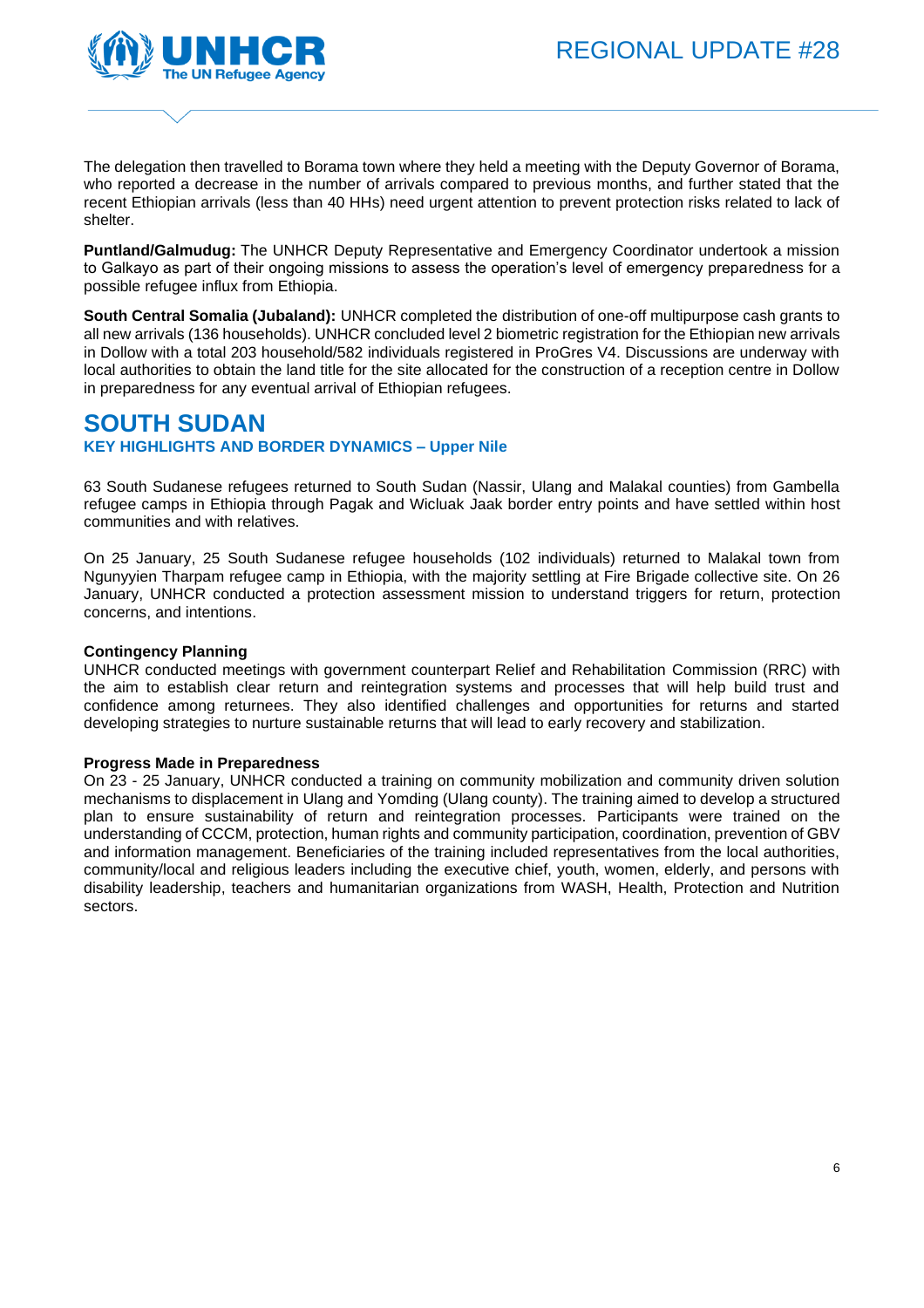

The delegation then travelled to Borama town where they held a meeting with the Deputy Governor of Borama, who reported a decrease in the number of arrivals compared to previous months, and further stated that the recent Ethiopian arrivals (less than 40 HHs) need urgent attention to prevent protection risks related to lack of shelter.

**Puntland/Galmudug:** The UNHCR Deputy Representative and Emergency Coordinator undertook a mission to Galkayo as part of their ongoing missions to assess the operation's level of emergency preparedness for a possible refugee influx from Ethiopia.

**South Central Somalia (Jubaland):** UNHCR completed the distribution of one-off multipurpose cash grants to all new arrivals (136 households). UNHCR concluded level 2 biometric registration for the Ethiopian new arrivals in Dollow with a total 203 household/582 individuals registered in ProGres V4. Discussions are underway with local authorities to obtain the land title for the site allocated for the construction of a reception centre in Dollow in preparedness for any eventual arrival of Ethiopian refugees.

# **SOUTH SUDAN**

**KEY HIGHLIGHTS AND BORDER DYNAMICS – Upper Nile**

63 South Sudanese refugees returned to South Sudan (Nassir, Ulang and Malakal counties) from Gambella refugee camps in Ethiopia through Pagak and Wicluak Jaak border entry points and have settled within host communities and with relatives.

On 25 January, 25 South Sudanese refugee households (102 individuals) returned to Malakal town from Ngunyyien Tharpam refugee camp in Ethiopia, with the majority settling at Fire Brigade collective site. On 26 January, UNHCR conducted a protection assessment mission to understand triggers for return, protection concerns, and intentions.

### **Contingency Planning**

UNHCR conducted meetings with government counterpart Relief and Rehabilitation Commission (RRC) with the aim to establish clear return and reintegration systems and processes that will help build trust and confidence among returnees. They also identified challenges and opportunities for returns and started developing strategies to nurture sustainable returns that will lead to early recovery and stabilization.

#### **Progress Made in Preparedness**

On 23 - 25 January, UNHCR conducted a training on community mobilization and community driven solution mechanisms to displacement in Ulang and Yomding (Ulang county). The training aimed to develop a structured plan to ensure sustainability of return and reintegration processes. Participants were trained on the understanding of CCCM, protection, human rights and community participation, coordination, prevention of GBV and information management. Beneficiaries of the training included representatives from the local authorities, community/local and religious leaders including the executive chief, youth, women, elderly, and persons with disability leadership, teachers and humanitarian organizations from WASH, Health, Protection and Nutrition sectors.